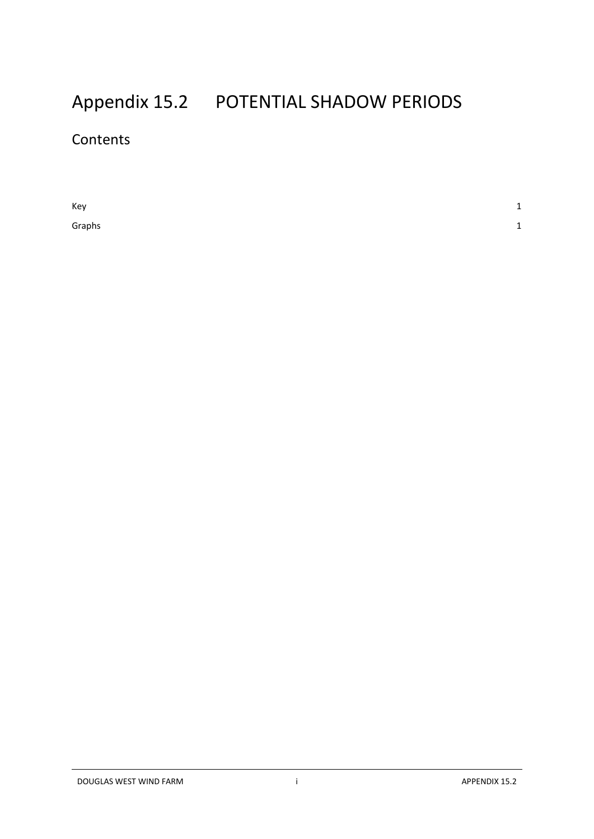# Appendix 15.2 POTENTIAL SHADOW PERIODS

### **Contents**

| Key    | $\mathbf 1$ |
|--------|-------------|
| Graphs | 1           |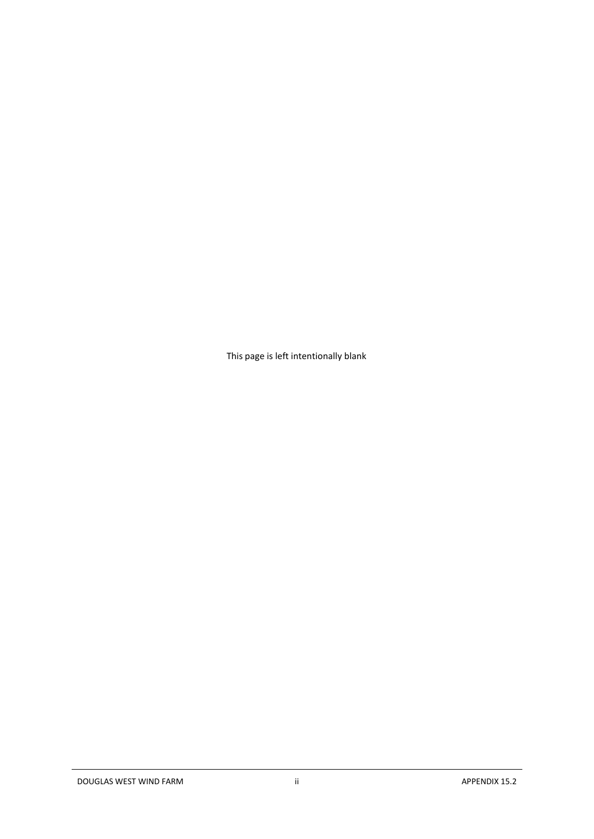This page is left intentionally blank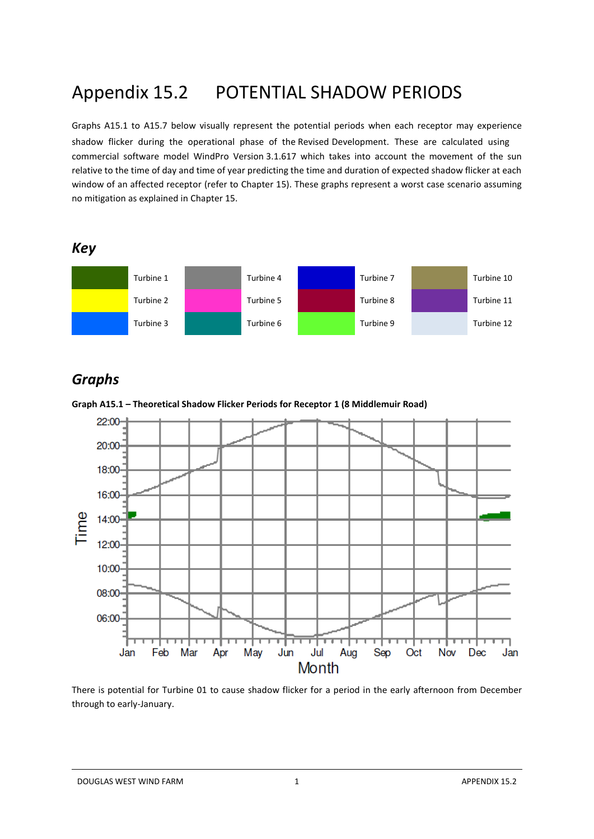## Appendix 15.2 POTENTIAL SHADOW PERIODS

<span id="page-2-0"></span>Graphs A15.1 to A15.7 below visually represent the potential periods when each receptor may experience shadow flicker during the operational phase of the Revised Development. These are calculated using commercial software model WindPro Version 3.1.617 which takes into account the movement of the sun relative to the time of day and time of year predicting the time and duration of expected shadow flicker at each window of an affected receptor (refer to Chapter 15). These graphs represent a worst case scenario assuming no mitigation as explained in Chapter 15.



#### *Graphs*



#### **Graph A15.1 – Theoretical Shadow Flicker Periods for Receptor 1 (8 Middlemuir Road)**

There is potential for Turbine 01 to cause shadow flicker for a period in the early afternoon from December through to early-January.

DOUGLAS WEST WIND FARM **1** APPENDIX 15.2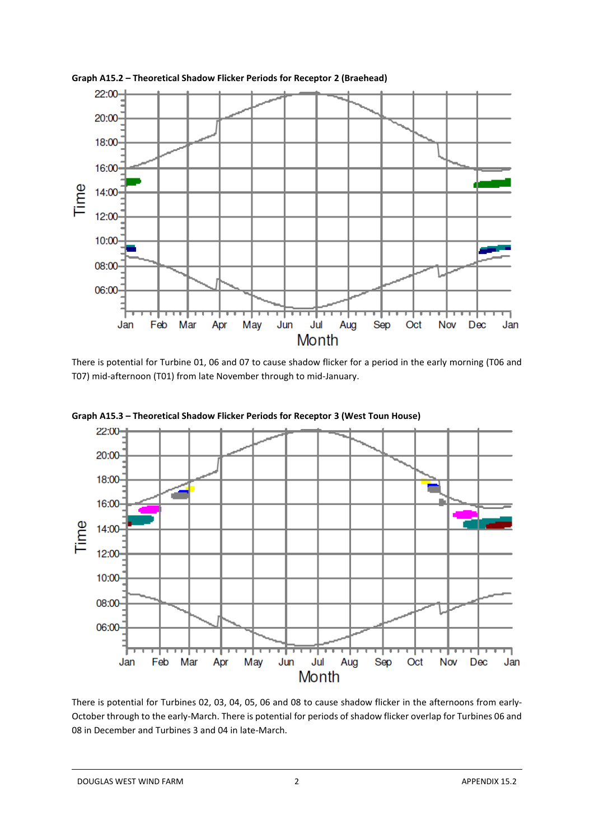

**Graph A15.2 – Theoretical Shadow Flicker Periods for Receptor 2 (Braehead)** 

There is potential for Turbine 01, 06 and 07 to cause shadow flicker for a period in the early morning (T06 and T07) mid-afternoon (T01) from late November through to mid-January.



**Graph A15.3 – Theoretical Shadow Flicker Periods for Receptor 3 (West Toun House)** 

There is potential for Turbines 02, 03, 04, 05, 06 and 08 to cause shadow flicker in the afternoons from early-October through to the early-March. There is potential for periods of shadow flicker overlap for Turbines 06 and 08 in December and Turbines 3 and 04 in late-March.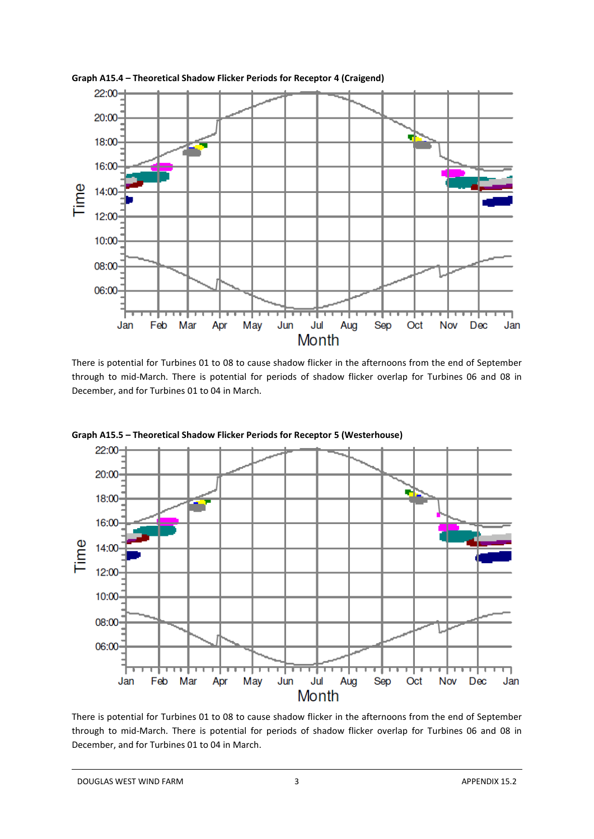

**Graph A15.4 – Theoretical Shadow Flicker Periods for Receptor 4 (Craigend)** 

There is potential for Turbines 01 to 08 to cause shadow flicker in the afternoons from the end of September through to mid-March. There is potential for periods of shadow flicker overlap for Turbines 06 and 08 in December, and for Turbines 01 to 04 in March.



**Graph A15.5 – Theoretical Shadow Flicker Periods for Receptor 5 (Westerhouse)** 

There is potential for Turbines 01 to 08 to cause shadow flicker in the afternoons from the end of September through to mid-March. There is potential for periods of shadow flicker overlap for Turbines 06 and 08 in December, and for Turbines 01 to 04 in March.